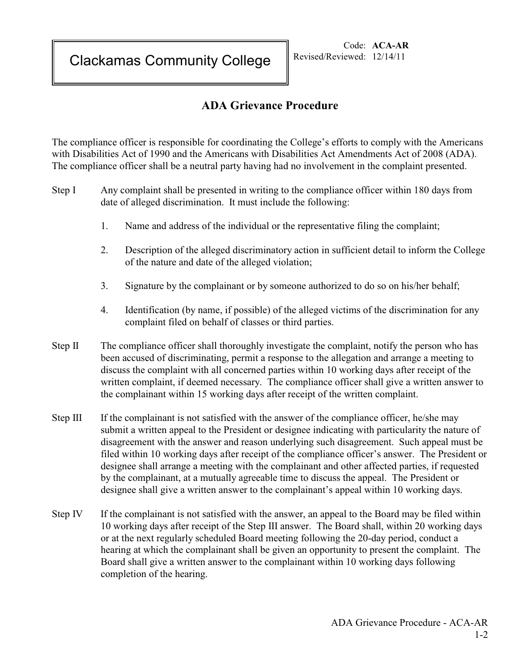Clackamas Community College

Code: **ACA-AR** Revised/Reviewed: 12/14/11

## **ADA Grievance Procedure**

The compliance officer is responsible for coordinating the College's efforts to comply with the Americans with Disabilities Act of 1990 and the Americans with Disabilities Act Amendments Act of 2008 (ADA). The compliance officer shall be a neutral party having had no involvement in the complaint presented.

- Step I Any complaint shall be presented in writing to the compliance officer within 180 days from date of alleged discrimination. It must include the following:
	- 1. Name and address of the individual or the representative filing the complaint;
	- 2. Description of the alleged discriminatory action in sufficient detail to inform the College of the nature and date of the alleged violation;
	- 3. Signature by the complainant or by someone authorized to do so on his/her behalf;
	- 4. Identification (by name, if possible) of the alleged victims of the discrimination for any complaint filed on behalf of classes or third parties.
- Step II The compliance officer shall thoroughly investigate the complaint, notify the person who has been accused of discriminating, permit a response to the allegation and arrange a meeting to discuss the complaint with all concerned parties within 10 working days after receipt of the written complaint, if deemed necessary. The compliance officer shall give a written answer to the complainant within 15 working days after receipt of the written complaint.
- Step III If the complainant is not satisfied with the answer of the compliance officer, he/she may submit a written appeal to the President or designee indicating with particularity the nature of disagreement with the answer and reason underlying such disagreement. Such appeal must be filed within 10 working days after receipt of the compliance officer's answer. The President or designee shall arrange a meeting with the complainant and other affected parties, if requested by the complainant, at a mutually agreeable time to discuss the appeal. The President or designee shall give a written answer to the complainant's appeal within 10 working days.
- Step IV If the complainant is not satisfied with the answer, an appeal to the Board may be filed within 10 working days after receipt of the Step III answer. The Board shall, within 20 working days or at the next regularly scheduled Board meeting following the 20-day period, conduct a hearing at which the complainant shall be given an opportunity to present the complaint. The Board shall give a written answer to the complainant within 10 working days following completion of the hearing.